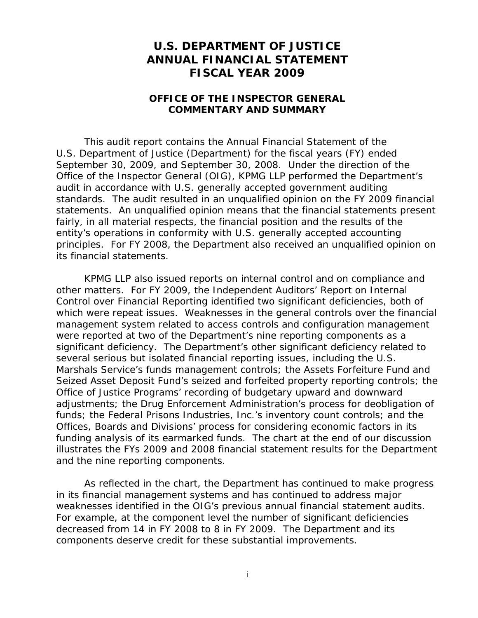## **U.S. DEPARTMENT OF JUSTICE ANNUAL FINANCIAL STATEMENT FISCAL YEAR 2009**

## **OFFICE OF THE INSPECTOR GENERAL COMMENTARY AND SUMMARY**

This audit report contains the Annual Financial Statement of the U.S. Department of Justice (Department) for the fiscal years (FY) ended September 30, 2009, and September 30, 2008. Under the direction of the Office of the Inspector General (OIG), KPMG LLP performed the Department's audit in accordance with U.S. generally accepted government auditing standards. The audit resulted in an unqualified opinion on the FY 2009 financial statements. An unqualified opinion means that the financial statements present fairly, in all material respects, the financial position and the results of the entity's operations in conformity with U.S. generally accepted accounting principles. For FY 2008, the Department also received an unqualified opinion on its financial statements.

KPMG LLP also issued reports on internal control and on compliance and other matters. For FY 2009, the *Independent Auditors' Report on Internal Control over Financial Reporting* identified two significant deficiencies, both of which were repeat issues. Weaknesses in the general controls over the financial management system related to access controls and configuration management were reported at two of the Department's nine reporting components as a significant deficiency. The Department's other significant deficiency related to several serious but isolated financial reporting issues, including the U.S. Marshals Service's funds management controls; the Assets Forfeiture Fund and Seized Asset Deposit Fund's seized and forfeited property reporting controls; the Office of Justice Programs' recording of budgetary upward and downward adjustments; the Drug Enforcement Administration's process for deobligation of funds; the Federal Prisons Industries, Inc.'s inventory count controls; and the Offices, Boards and Divisions' process for considering economic factors in its funding analysis of its earmarked funds. The chart at the end of our discussion illustrates the FYs 2009 and 2008 financial statement results for the Department and the nine reporting components.

As reflected in the chart, the Department has continued to make progress in its financial management systems and has continued to address major weaknesses identified in the OIG's previous annual financial statement audits. For example, at the component level the number of significant deficiencies decreased from 14 in FY 2008 to 8 in FY 2009. The Department and its components deserve credit for these substantial improvements.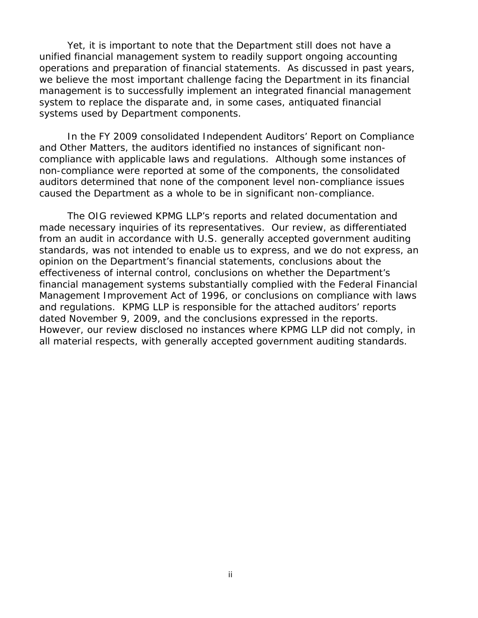Yet, it is important to note that the Department still does not have a unified financial management system to readily support ongoing accounting operations and preparation of financial statements. As discussed in past years, we believe the most important challenge facing the Department in its financial management is to successfully implement an integrated financial management system to replace the disparate and, in some cases, antiquated financial systems used by Department components.

In the FY 2009 consolidated *Independent Auditors' Report on Compliance and Other Matters*, the auditors identified no instances of significant noncompliance with applicable laws and regulations. Although some instances of non-compliance were reported at some of the components, the consolidated auditors determined that none of the component level non-compliance issues caused the Department as a whole to be in significant non-compliance.

The OIG reviewed KPMG LLP's reports and related documentation and made necessary inquiries of its representatives. Our review, as differentiated from an audit in accordance with U.S. generally accepted government auditing standards, was not intended to enable us to express, and we do not express, an opinion on the Department's financial statements, conclusions about the effectiveness of internal control, conclusions on whether the Department's financial management systems substantially complied with the Federal Financial Management Improvement Act of 1996, or conclusions on compliance with laws and regulations. KPMG LLP is responsible for the attached auditors' reports dated November 9, 2009, and the conclusions expressed in the reports. However, our review disclosed no instances where KPMG LLP did not comply, in all material respects, with generally accepted government auditing standards.